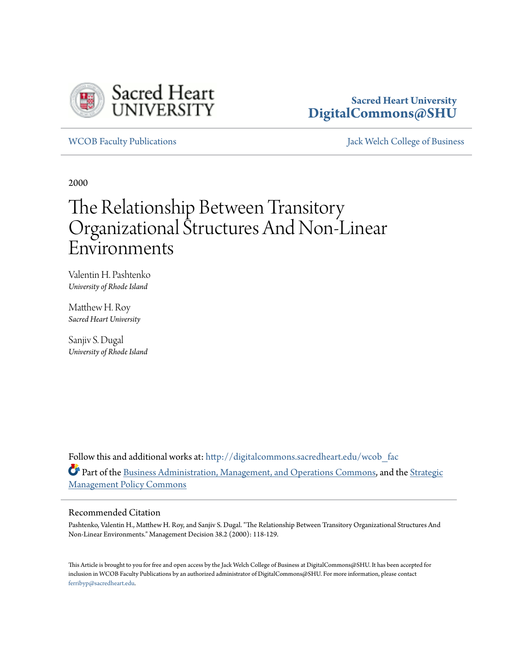

# **Sacred Heart University [DigitalCommons@SHU](http://digitalcommons.sacredheart.edu?utm_source=digitalcommons.sacredheart.edu%2Fwcob_fac%2F359&utm_medium=PDF&utm_campaign=PDFCoverPages)**

[WCOB Faculty Publications](http://digitalcommons.sacredheart.edu/wcob_fac?utm_source=digitalcommons.sacredheart.edu%2Fwcob_fac%2F359&utm_medium=PDF&utm_campaign=PDFCoverPages) [Jack Welch College of Business](http://digitalcommons.sacredheart.edu/wcob?utm_source=digitalcommons.sacredheart.edu%2Fwcob_fac%2F359&utm_medium=PDF&utm_campaign=PDFCoverPages)

2000

# The Relationship Between Transitory Organizational Structures And Non-Linear Environments

Valentin H. Pashtenko *University of Rhode Island*

Matthew H. Roy *Sacred Heart University*

Sanjiv S. Dugal *University of Rhode Island*

Follow this and additional works at: [http://digitalcommons.sacredheart.edu/wcob\\_fac](http://digitalcommons.sacredheart.edu/wcob_fac?utm_source=digitalcommons.sacredheart.edu%2Fwcob_fac%2F359&utm_medium=PDF&utm_campaign=PDFCoverPages) Part of the [Business Administration, Management, and Operations Commons](http://network.bepress.com/hgg/discipline/623?utm_source=digitalcommons.sacredheart.edu%2Fwcob_fac%2F359&utm_medium=PDF&utm_campaign=PDFCoverPages), and the [Strategic](http://network.bepress.com/hgg/discipline/642?utm_source=digitalcommons.sacredheart.edu%2Fwcob_fac%2F359&utm_medium=PDF&utm_campaign=PDFCoverPages) [Management Policy Commons](http://network.bepress.com/hgg/discipline/642?utm_source=digitalcommons.sacredheart.edu%2Fwcob_fac%2F359&utm_medium=PDF&utm_campaign=PDFCoverPages)

# Recommended Citation

Pashtenko, Valentin H., Matthew H. Roy, and Sanjiv S. Dugal. "The Relationship Between Transitory Organizational Structures And Non-Linear Environments." Management Decision 38.2 (2000): 118-129.

This Article is brought to you for free and open access by the Jack Welch College of Business at DigitalCommons@SHU. It has been accepted for inclusion in WCOB Faculty Publications by an authorized administrator of DigitalCommons@SHU. For more information, please contact [ferribyp@sacredheart.edu](mailto:ferribyp@sacredheart.edu).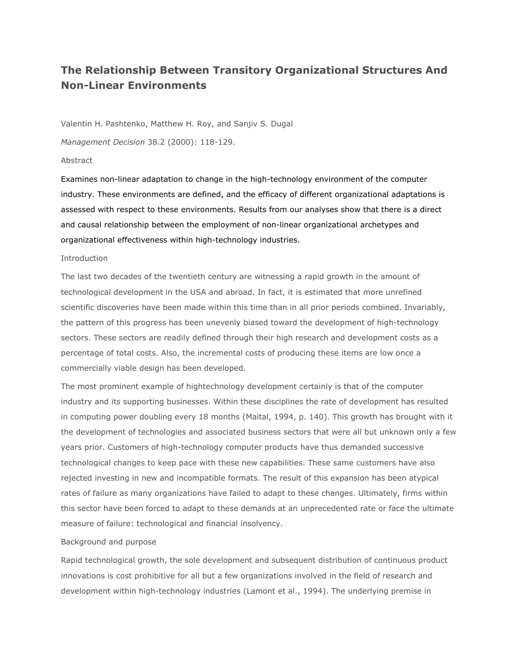# The Relationship Between Transitory Organizational Structures And Non-Linear Environments

Valentin H. Pashtenko, Matthew H. Roy, and Sanjiv S. Dugal

Management Decision 38.2 (2000): 118-129.

# Abstract

Examines non-linear adaptation to change in the high-technology environment of the computer industry. These environments are defined, and the efficacy of different organizational adaptations is assessed with respect to these environments. Results from our analyses show that there is a direct and causal relationship between the employment of non-linear organizational archetypes and organizational effectiveness within high-technology industries.

## Introduction

The last two decades of the twentieth century are witnessing a rapid growth in the amount of technological development in the USA and abroad. In fact, it is estimated that more unrefined scientific discoveries have been made within this time than in all prior periods combined. Invariably, the pattern of this progress has been unevenly biased toward the development of high-technology sectors. These sectors are readily defined through their high research and development costs as a percentage of total costs. Also, the incremental costs of producing these items are low once a commercially viable design has been developed.

The most prominent example of hightechnology development certainly is that of the computer industry and its supporting businesses. Within these disciplines the rate of development has resulted in computing power doubling every 18 months (Maital, 1994, p. 140). This growth has brought with it the development of technologies and associated business sectors that were all but unknown only a few years prior. Customers of high-technology computer products have thus demanded successive technological changes to keep pace with these new capabilities. These same customers have also rejected investing in new and incompatible formats. The result of this expansion has been atypical rates of failure as many organizations have failed to adapt to these changes. Ultimately, firms within this sector have been forced to adapt to these demands at an unprecedented rate or face the ultimate measure of failure: technological and financial insolvency.

# Background and purpose

Rapid technological growth, the sole development and subsequent distribution of continuous product innovations is cost prohibitive for all but a few organizations involved in the field of research and development within high-technology industries (Lamont et al., 1994). The underlying premise in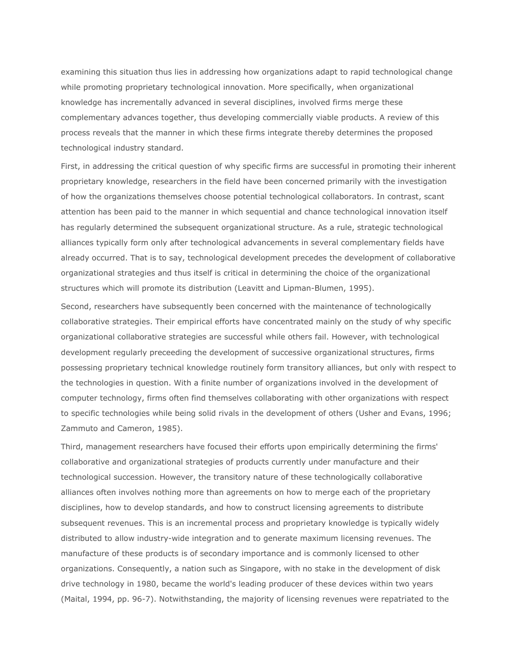examining this situation thus lies in addressing how organizations adapt to rapid technological change while promoting proprietary technological innovation. More specifically, when organizational knowledge has incrementally advanced in several disciplines, involved firms merge these complementary advances together, thus developing commercially viable products. A review of this process reveals that the manner in which these firms integrate thereby determines the proposed technological industry standard.

First, in addressing the critical question of why specific firms are successful in promoting their inherent proprietary knowledge, researchers in the field have been concerned primarily with the investigation of how the organizations themselves choose potential technological collaborators. In contrast, scant attention has been paid to the manner in which sequential and chance technological innovation itself has regularly determined the subsequent organizational structure. As a rule, strategic technological alliances typically form only after technological advancements in several complementary fields have already occurred. That is to say, technological development precedes the development of collaborative organizational strategies and thus itself is critical in determining the choice of the organizational structures which will promote its distribution (Leavitt and Lipman-Blumen, 1995).

Second, researchers have subsequently been concerned with the maintenance of technologically collaborative strategies. Their empirical efforts have concentrated mainly on the study of why specific organizational collaborative strategies are successful while others fail. However, with technological development regularly preceeding the development of successive organizational structures, firms possessing proprietary technical knowledge routinely form transitory alliances, but only with respect to the technologies in question. With a finite number of organizations involved in the development of computer technology, firms often find themselves collaborating with other organizations with respect to specific technologies while being solid rivals in the development of others (Usher and Evans, 1996; Zammuto and Cameron, 1985).

Third, management researchers have focused their efforts upon empirically determining the firms' collaborative and organizational strategies of products currently under manufacture and their technological succession. However, the transitory nature of these technologically collaborative alliances often involves nothing more than agreements on how to merge each of the proprietary disciplines, how to develop standards, and how to construct licensing agreements to distribute subsequent revenues. This is an incremental process and proprietary knowledge is typically widely distributed to allow industry-wide integration and to generate maximum licensing revenues. The manufacture of these products is of secondary importance and is commonly licensed to other organizations. Consequently, a nation such as Singapore, with no stake in the development of disk drive technology in 1980, became the world's leading producer of these devices within two years (Maital, 1994, pp. 96-7). Notwithstanding, the majority of licensing revenues were repatriated to the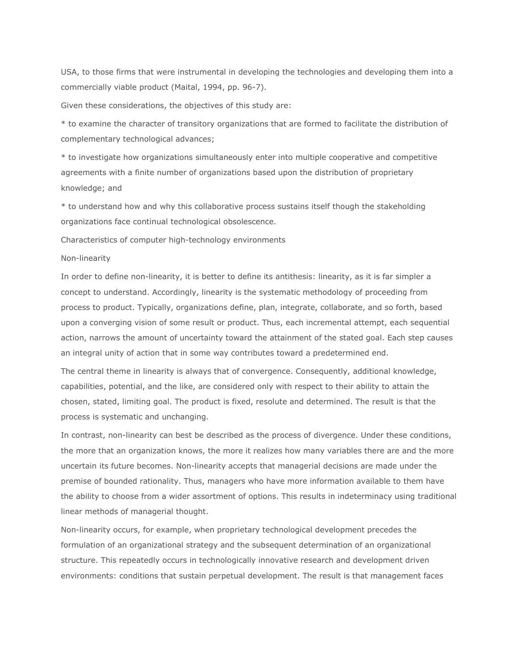USA, to those firms that were instrumental in developing the technologies and developing them into a commercially viable product (Maital, 1994, pp. 96-7).

Given these considerations, the objectives of this study are:

\* to examine the character of transitory organizations that are formed to facilitate the distribution of complementary technological advances;

\* to investigate how organizations simultaneously enter into multiple cooperative and competitive agreements with a finite number of organizations based upon the distribution of proprietary knowledge; and

\* to understand how and why this collaborative process sustains itself though the stakeholding organizations face continual technological obsolescence.

Characteristics of computer high-technology environments

Non-linearity

In order to define non-linearity, it is better to define its antithesis: linearity, as it is far simpler a concept to understand. Accordingly, linearity is the systematic methodology of proceeding from process to product. Typically, organizations define, plan, integrate, collaborate, and so forth, based upon a converging vision of some result or product. Thus, each incremental attempt, each sequential action, narrows the amount of uncertainty toward the attainment of the stated goal. Each step causes an integral unity of action that in some way contributes toward a predetermined end.

The central theme in linearity is always that of convergence. Consequently, additional knowledge, capabilities, potential, and the like, are considered only with respect to their ability to attain the chosen, stated, limiting goal. The product is fixed, resolute and determined. The result is that the process is systematic and unchanging.

In contrast, non-linearity can best be described as the process of divergence. Under these conditions, the more that an organization knows, the more it realizes how many variables there are and the more uncertain its future becomes. Non-linearity accepts that managerial decisions are made under the premise of bounded rationality. Thus, managers who have more information available to them have the ability to choose from a wider assortment of options. This results in indeterminacy using traditional linear methods of managerial thought.

Non-linearity occurs, for example, when proprietary technological development precedes the formulation of an organizational strategy and the subsequent determination of an organizational structure. This repeatedly occurs in technologically innovative research and development driven environments: conditions that sustain perpetual development. The result is that management faces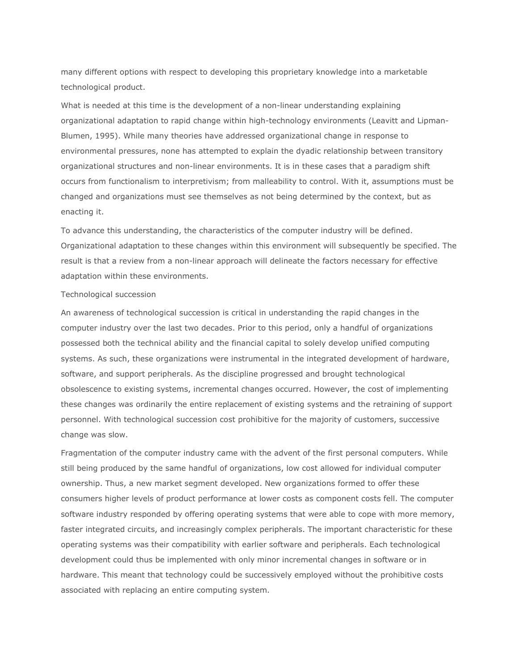many different options with respect to developing this proprietary knowledge into a marketable technological product.

What is needed at this time is the development of a non-linear understanding explaining organizational adaptation to rapid change within high-technology environments (Leavitt and Lipman-Blumen, 1995). While many theories have addressed organizational change in response to environmental pressures, none has attempted to explain the dyadic relationship between transitory organizational structures and non-linear environments. It is in these cases that a paradigm shift occurs from functionalism to interpretivism; from malleability to control. With it, assumptions must be changed and organizations must see themselves as not being determined by the context, but as enacting it.

To advance this understanding, the characteristics of the computer industry will be defined. Organizational adaptation to these changes within this environment will subsequently be specified. The result is that a review from a non-linear approach will delineate the factors necessary for effective adaptation within these environments.

# Technological succession

An awareness of technological succession is critical in understanding the rapid changes in the computer industry over the last two decades. Prior to this period, only a handful of organizations possessed both the technical ability and the financial capital to solely develop unified computing systems. As such, these organizations were instrumental in the integrated development of hardware, software, and support peripherals. As the discipline progressed and brought technological obsolescence to existing systems, incremental changes occurred. However, the cost of implementing these changes was ordinarily the entire replacement of existing systems and the retraining of support personnel. With technological succession cost prohibitive for the majority of customers, successive change was slow.

Fragmentation of the computer industry came with the advent of the first personal computers. While still being produced by the same handful of organizations, low cost allowed for individual computer ownership. Thus, a new market segment developed. New organizations formed to offer these consumers higher levels of product performance at lower costs as component costs fell. The computer software industry responded by offering operating systems that were able to cope with more memory, faster integrated circuits, and increasingly complex peripherals. The important characteristic for these operating systems was their compatibility with earlier software and peripherals. Each technological development could thus be implemented with only minor incremental changes in software or in hardware. This meant that technology could be successively employed without the prohibitive costs associated with replacing an entire computing system.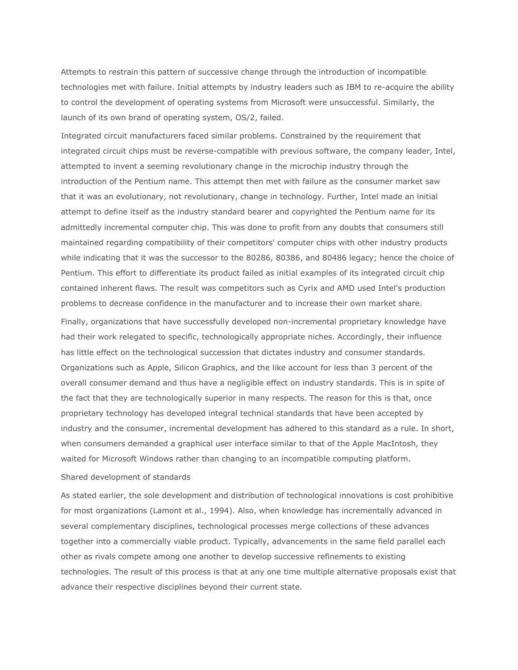Attempts to restrain this pattern of successive change through the introduction of incompatible technologies met with failure. Initial attempts by industry leaders such as IBM to re-acquire the ability to control the development of operating systems from Microsoft were unsuccessful. Similarly, the launch of its own brand of operating system, OS/2, failed.

Integrated circuit manufacturers faced similar problems. Constrained by the requirement that integrated circuit chips must be reverse-compatible with previous software, the company leader, Intel, attempted to invent a seeming revolutionary change in the microchip industry through the introduction of the Pentium name. This attempt then met with failure as the consumer market saw that it was an evolutionary, not revolutionary, change in technology. Further, Intel made an initial attempt to define itself as the industry standard bearer and copyrighted the Pentium name for its admittedly incremental computer chip. This was done to profit from any doubts that consumers still maintained regarding compatibility of their competitors' computer chips with other industry products while indicating that it was the successor to the 80286, 80386, and 80486 legacy; hence the choice of Pentium. This effort to differentiate its product failed as initial examples of its integrated circuit chip contained inherent flaws. The result was competitors such as Cyrix and AMD used Intel's production problems to decrease confidence in the manufacturer and to increase their own market share.

Finally, organizations that have successfully developed non-incremental proprietary knowledge have had their work relegated to specific, technologically appropriate niches. Accordingly, their influence has little effect on the technological succession that dictates industry and consumer standards. Organizations such as Apple, Silicon Graphics, and the like account for less than 3 percent of the overall consumer demand and thus have a negligible effect on industry standards. This is in spite of the fact that they are technologically superior in many respects. The reason for this is that, once proprietary technology has developed integral technical standards that have been accepted by industry and the consumer, incremental development has adhered to this standard as a rule. In short, when consumers demanded a graphical user interface similar to that of the Apple MacIntosh, they waited for Microsoft Windows rather than changing to an incompatible computing platform.

# Shared development of standards

As stated earlier, the sole development and distribution of technological innovations is cost prohibitive for most organizations (Lamont et al., 1994). Also, when knowledge has incrementally advanced in several complementary disciplines, technological processes merge collections of these advances together into a commercially viable product. Typically, advancements in the same field parallel each other as rivals compete among one another to develop successive refinements to existing technologies. The result of this process is that at any one time multiple alternative proposals exist that advance their respective disciplines beyond their current state.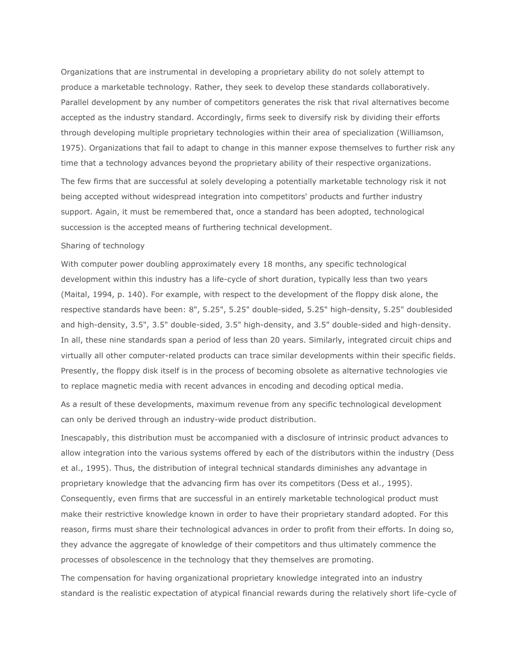Organizations that are instrumental in developing a proprietary ability do not solely attempt to produce a marketable technology. Rather, they seek to develop these standards collaboratively. Parallel development by any number of competitors generates the risk that rival alternatives become accepted as the industry standard. Accordingly, firms seek to diversify risk by dividing their efforts through developing multiple proprietary technologies within their area of specialization (Williamson, 1975). Organizations that fail to adapt to change in this manner expose themselves to further risk any time that a technology advances beyond the proprietary ability of their respective organizations.

The few firms that are successful at solely developing a potentially marketable technology risk it not being accepted without widespread integration into competitors' products and further industry support. Again, it must be remembered that, once a standard has been adopted, technological succession is the accepted means of furthering technical development.

#### Sharing of technology

With computer power doubling approximately every 18 months, any specific technological development within this industry has a life-cycle of short duration, typically less than two years (Maital, 1994, p. 140). For example, with respect to the development of the floppy disk alone, the respective standards have been: 8", 5.25", 5.25" double-sided, 5.25" high-density, 5.25" doublesided and high-density, 3.5", 3.5" double-sided, 3.5" high-density, and 3.5" double-sided and high-density. In all, these nine standards span a period of less than 20 years. Similarly, integrated circuit chips and virtually all other computer-related products can trace similar developments within their specific fields. Presently, the floppy disk itself is in the process of becoming obsolete as alternative technologies vie to replace magnetic media with recent advances in encoding and decoding optical media.

As a result of these developments, maximum revenue from any specific technological development can only be derived through an industry-wide product distribution.

Inescapably, this distribution must be accompanied with a disclosure of intrinsic product advances to allow integration into the various systems offered by each of the distributors within the industry (Dess et al., 1995). Thus, the distribution of integral technical standards diminishes any advantage in proprietary knowledge that the advancing firm has over its competitors (Dess et al., 1995). Consequently, even firms that are successful in an entirely marketable technological product must make their restrictive knowledge known in order to have their proprietary standard adopted. For this reason, firms must share their technological advances in order to profit from their efforts. In doing so, they advance the aggregate of knowledge of their competitors and thus ultimately commence the processes of obsolescence in the technology that they themselves are promoting.

The compensation for having organizational proprietary knowledge integrated into an industry standard is the realistic expectation of atypical financial rewards during the relatively short life-cycle of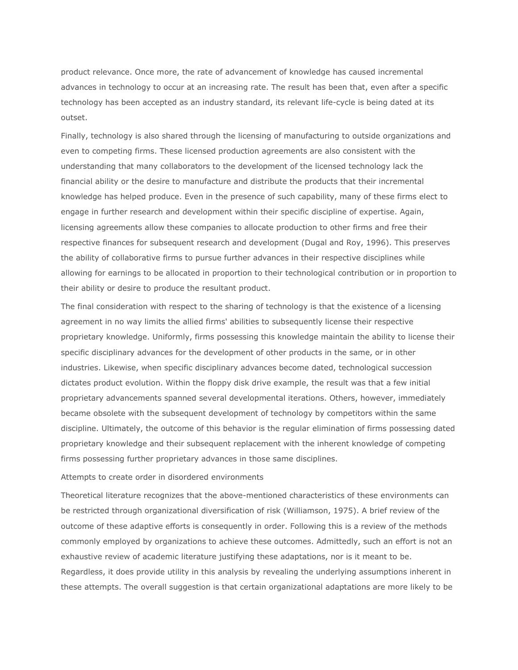product relevance. Once more, the rate of advancement of knowledge has caused incremental advances in technology to occur at an increasing rate. The result has been that, even after a specific technology has been accepted as an industry standard, its relevant life-cycle is being dated at its outset.

Finally, technology is also shared through the licensing of manufacturing to outside organizations and even to competing firms. These licensed production agreements are also consistent with the understanding that many collaborators to the development of the licensed technology lack the financial ability or the desire to manufacture and distribute the products that their incremental knowledge has helped produce. Even in the presence of such capability, many of these firms elect to engage in further research and development within their specific discipline of expertise. Again, licensing agreements allow these companies to allocate production to other firms and free their respective finances for subsequent research and development (Dugal and Roy, 1996). This preserves the ability of collaborative firms to pursue further advances in their respective disciplines while allowing for earnings to be allocated in proportion to their technological contribution or in proportion to their ability or desire to produce the resultant product.

The final consideration with respect to the sharing of technology is that the existence of a licensing agreement in no way limits the allied firms' abilities to subsequently license their respective proprietary knowledge. Uniformly, firms possessing this knowledge maintain the ability to license their specific disciplinary advances for the development of other products in the same, or in other industries. Likewise, when specific disciplinary advances become dated, technological succession dictates product evolution. Within the floppy disk drive example, the result was that a few initial proprietary advancements spanned several developmental iterations. Others, however, immediately became obsolete with the subsequent development of technology by competitors within the same discipline. Ultimately, the outcome of this behavior is the regular elimination of firms possessing dated proprietary knowledge and their subsequent replacement with the inherent knowledge of competing firms possessing further proprietary advances in those same disciplines.

#### Attempts to create order in disordered environments

Theoretical literature recognizes that the above-mentioned characteristics of these environments can be restricted through organizational diversification of risk (Williamson, 1975). A brief review of the outcome of these adaptive efforts is consequently in order. Following this is a review of the methods commonly employed by organizations to achieve these outcomes. Admittedly, such an effort is not an exhaustive review of academic literature justifying these adaptations, nor is it meant to be. Regardless, it does provide utility in this analysis by revealing the underlying assumptions inherent in these attempts. The overall suggestion is that certain organizational adaptations are more likely to be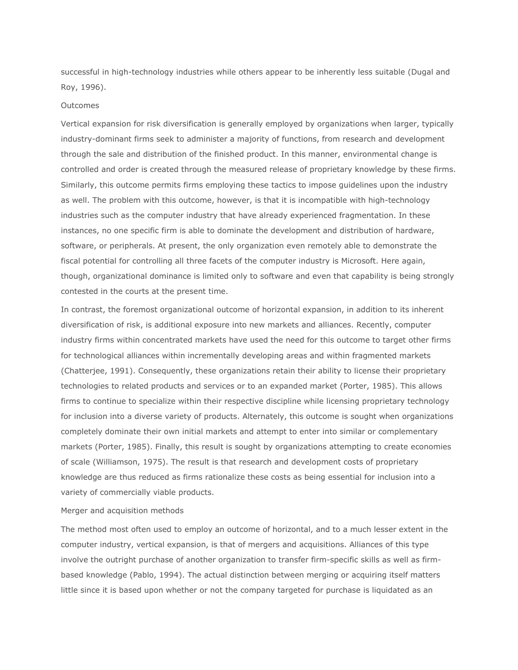successful in high-technology industries while others appear to be inherently less suitable (Dugal and Roy, 1996).

# **Outcomes**

Vertical expansion for risk diversification is generally employed by organizations when larger, typically industry-dominant firms seek to administer a majority of functions, from research and development through the sale and distribution of the finished product. In this manner, environmental change is controlled and order is created through the measured release of proprietary knowledge by these firms. Similarly, this outcome permits firms employing these tactics to impose guidelines upon the industry as well. The problem with this outcome, however, is that it is incompatible with high-technology industries such as the computer industry that have already experienced fragmentation. In these instances, no one specific firm is able to dominate the development and distribution of hardware, software, or peripherals. At present, the only organization even remotely able to demonstrate the fiscal potential for controlling all three facets of the computer industry is Microsoft. Here again, though, organizational dominance is limited only to software and even that capability is being strongly contested in the courts at the present time.

In contrast, the foremost organizational outcome of horizontal expansion, in addition to its inherent diversification of risk, is additional exposure into new markets and alliances. Recently, computer industry firms within concentrated markets have used the need for this outcome to target other firms for technological alliances within incrementally developing areas and within fragmented markets (Chatterjee, 1991). Consequently, these organizations retain their ability to license their proprietary technologies to related products and services or to an expanded market (Porter, 1985). This allows firms to continue to specialize within their respective discipline while licensing proprietary technology for inclusion into a diverse variety of products. Alternately, this outcome is sought when organizations completely dominate their own initial markets and attempt to enter into similar or complementary markets (Porter, 1985). Finally, this result is sought by organizations attempting to create economies of scale (Williamson, 1975). The result is that research and development costs of proprietary knowledge are thus reduced as firms rationalize these costs as being essential for inclusion into a variety of commercially viable products.

# Merger and acquisition methods

The method most often used to employ an outcome of horizontal, and to a much lesser extent in the computer industry, vertical expansion, is that of mergers and acquisitions. Alliances of this type involve the outright purchase of another organization to transfer firm-specific skills as well as firmbased knowledge (Pablo, 1994). The actual distinction between merging or acquiring itself matters little since it is based upon whether or not the company targeted for purchase is liquidated as an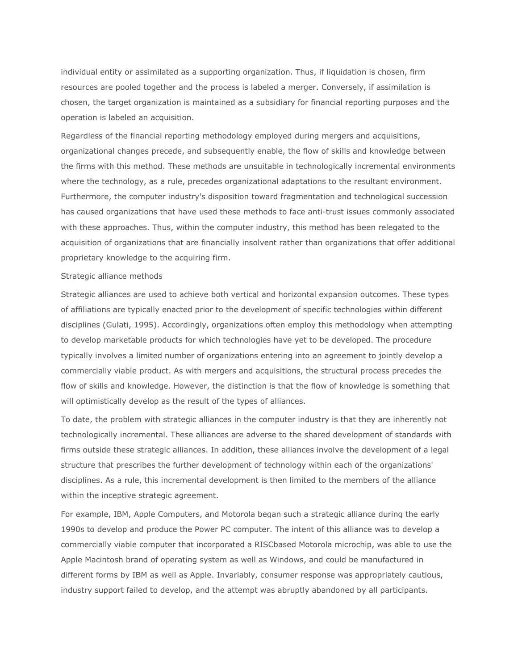individual entity or assimilated as a supporting organization. Thus, if liquidation is chosen, firm resources are pooled together and the process is labeled a merger. Conversely, if assimilation is chosen, the target organization is maintained as a subsidiary for financial reporting purposes and the operation is labeled an acquisition.

Regardless of the financial reporting methodology employed during mergers and acquisitions, organizational changes precede, and subsequently enable, the flow of skills and knowledge between the firms with this method. These methods are unsuitable in technologically incremental environments where the technology, as a rule, precedes organizational adaptations to the resultant environment. Furthermore, the computer industry's disposition toward fragmentation and technological succession has caused organizations that have used these methods to face anti-trust issues commonly associated with these approaches. Thus, within the computer industry, this method has been relegated to the acquisition of organizations that are financially insolvent rather than organizations that offer additional proprietary knowledge to the acquiring firm.

#### Strategic alliance methods

Strategic alliances are used to achieve both vertical and horizontal expansion outcomes. These types of affiliations are typically enacted prior to the development of specific technologies within different disciplines (Gulati, 1995). Accordingly, organizations often employ this methodology when attempting to develop marketable products for which technologies have yet to be developed. The procedure typically involves a limited number of organizations entering into an agreement to jointly develop a commercially viable product. As with mergers and acquisitions, the structural process precedes the flow of skills and knowledge. However, the distinction is that the flow of knowledge is something that will optimistically develop as the result of the types of alliances.

To date, the problem with strategic alliances in the computer industry is that they are inherently not technologically incremental. These alliances are adverse to the shared development of standards with firms outside these strategic alliances. In addition, these alliances involve the development of a legal structure that prescribes the further development of technology within each of the organizations' disciplines. As a rule, this incremental development is then limited to the members of the alliance within the inceptive strategic agreement.

For example, IBM, Apple Computers, and Motorola began such a strategic alliance during the early 1990s to develop and produce the Power PC computer. The intent of this alliance was to develop a commercially viable computer that incorporated a RISCbased Motorola microchip, was able to use the Apple Macintosh brand of operating system as well as Windows, and could be manufactured in different forms by IBM as well as Apple. Invariably, consumer response was appropriately cautious, industry support failed to develop, and the attempt was abruptly abandoned by all participants.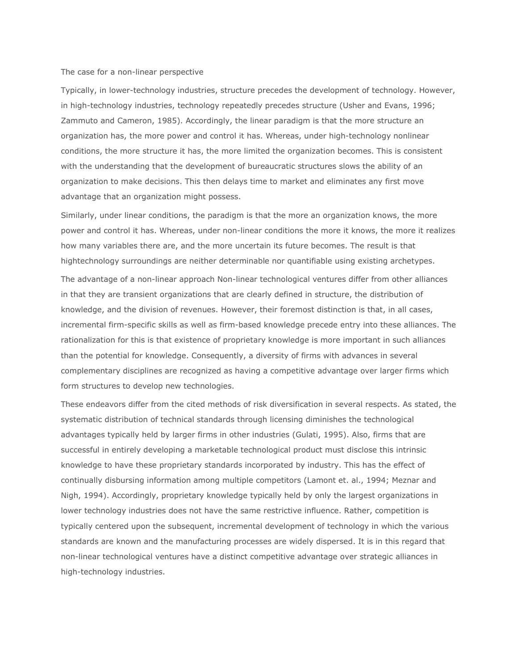#### The case for a non-linear perspective

Typically, in lower-technology industries, structure precedes the development of technology. However, in high-technology industries, technology repeatedly precedes structure (Usher and Evans, 1996; Zammuto and Cameron, 1985). Accordingly, the linear paradigm is that the more structure an organization has, the more power and control it has. Whereas, under high-technology nonlinear conditions, the more structure it has, the more limited the organization becomes. This is consistent with the understanding that the development of bureaucratic structures slows the ability of an organization to make decisions. This then delays time to market and eliminates any first move advantage that an organization might possess.

Similarly, under linear conditions, the paradigm is that the more an organization knows, the more power and control it has. Whereas, under non-linear conditions the more it knows, the more it realizes how many variables there are, and the more uncertain its future becomes. The result is that hightechnology surroundings are neither determinable nor quantifiable using existing archetypes.

The advantage of a non-linear approach Non-linear technological ventures differ from other alliances in that they are transient organizations that are clearly defined in structure, the distribution of knowledge, and the division of revenues. However, their foremost distinction is that, in all cases, incremental firm-specific skills as well as firm-based knowledge precede entry into these alliances. The rationalization for this is that existence of proprietary knowledge is more important in such alliances than the potential for knowledge. Consequently, a diversity of firms with advances in several complementary disciplines are recognized as having a competitive advantage over larger firms which form structures to develop new technologies.

These endeavors differ from the cited methods of risk diversification in several respects. As stated, the systematic distribution of technical standards through licensing diminishes the technological advantages typically held by larger firms in other industries (Gulati, 1995). Also, firms that are successful in entirely developing a marketable technological product must disclose this intrinsic knowledge to have these proprietary standards incorporated by industry. This has the effect of continually disbursing information among multiple competitors (Lamont et. al., 1994; Meznar and Nigh, 1994). Accordingly, proprietary knowledge typically held by only the largest organizations in lower technology industries does not have the same restrictive influence. Rather, competition is typically centered upon the subsequent, incremental development of technology in which the various standards are known and the manufacturing processes are widely dispersed. It is in this regard that non-linear technological ventures have a distinct competitive advantage over strategic alliances in high-technology industries.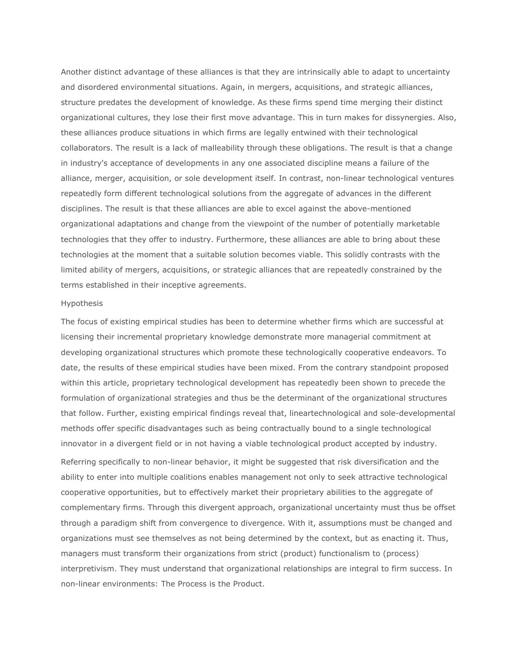Another distinct advantage of these alliances is that they are intrinsically able to adapt to uncertainty and disordered environmental situations. Again, in mergers, acquisitions, and strategic alliances, structure predates the development of knowledge. As these firms spend time merging their distinct organizational cultures, they lose their first move advantage. This in turn makes for dissynergies. Also, these alliances produce situations in which firms are legally entwined with their technological collaborators. The result is a lack of malleability through these obligations. The result is that a change in industry's acceptance of developments in any one associated discipline means a failure of the alliance, merger, acquisition, or sole development itself. In contrast, non-linear technological ventures repeatedly form different technological solutions from the aggregate of advances in the different disciplines. The result is that these alliances are able to excel against the above-mentioned organizational adaptations and change from the viewpoint of the number of potentially marketable technologies that they offer to industry. Furthermore, these alliances are able to bring about these technologies at the moment that a suitable solution becomes viable. This solidly contrasts with the limited ability of mergers, acquisitions, or strategic alliances that are repeatedly constrained by the terms established in their inceptive agreements.

#### Hypothesis

The focus of existing empirical studies has been to determine whether firms which are successful at licensing their incremental proprietary knowledge demonstrate more managerial commitment at developing organizational structures which promote these technologically cooperative endeavors. To date, the results of these empirical studies have been mixed. From the contrary standpoint proposed within this article, proprietary technological development has repeatedly been shown to precede the formulation of organizational strategies and thus be the determinant of the organizational structures that follow. Further, existing empirical findings reveal that, lineartechnological and sole-developmental methods offer specific disadvantages such as being contractually bound to a single technological innovator in a divergent field or in not having a viable technological product accepted by industry. Referring specifically to non-linear behavior, it might be suggested that risk diversification and the ability to enter into multiple coalitions enables management not only to seek attractive technological cooperative opportunities, but to effectively market their proprietary abilities to the aggregate of complementary firms. Through this divergent approach, organizational uncertainty must thus be offset through a paradigm shift from convergence to divergence. With it, assumptions must be changed and organizations must see themselves as not being determined by the context, but as enacting it. Thus, managers must transform their organizations from strict (product) functionalism to (process) interpretivism. They must understand that organizational relationships are integral to firm success. In non-linear environments: The Process is the Product.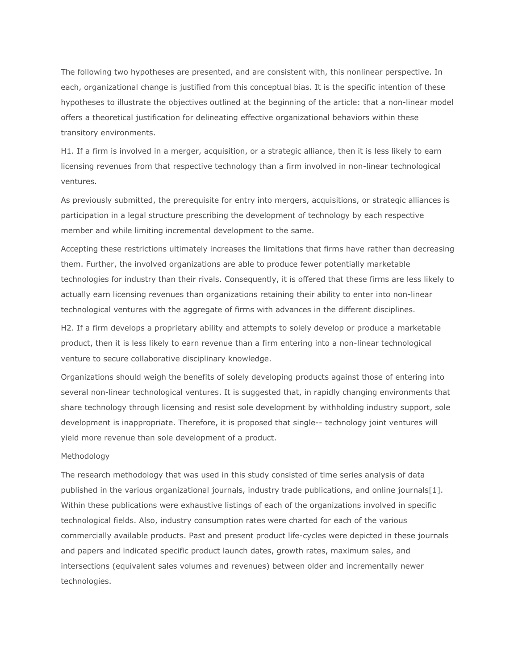The following two hypotheses are presented, and are consistent with, this nonlinear perspective. In each, organizational change is justified from this conceptual bias. It is the specific intention of these hypotheses to illustrate the objectives outlined at the beginning of the article: that a non-linear model offers a theoretical justification for delineating effective organizational behaviors within these transitory environments.

H1. If a firm is involved in a merger, acquisition, or a strategic alliance, then it is less likely to earn licensing revenues from that respective technology than a firm involved in non-linear technological ventures.

As previously submitted, the prerequisite for entry into mergers, acquisitions, or strategic alliances is participation in a legal structure prescribing the development of technology by each respective member and while limiting incremental development to the same.

Accepting these restrictions ultimately increases the limitations that firms have rather than decreasing them. Further, the involved organizations are able to produce fewer potentially marketable technologies for industry than their rivals. Consequently, it is offered that these firms are less likely to actually earn licensing revenues than organizations retaining their ability to enter into non-linear technological ventures with the aggregate of firms with advances in the different disciplines.

H2. If a firm develops a proprietary ability and attempts to solely develop or produce a marketable product, then it is less likely to earn revenue than a firm entering into a non-linear technological venture to secure collaborative disciplinary knowledge.

Organizations should weigh the benefits of solely developing products against those of entering into several non-linear technological ventures. It is suggested that, in rapidly changing environments that share technology through licensing and resist sole development by withholding industry support, sole development is inappropriate. Therefore, it is proposed that single-- technology joint ventures will yield more revenue than sole development of a product.

# Methodology

The research methodology that was used in this study consisted of time series analysis of data published in the various organizational journals, industry trade publications, and online journals[1]. Within these publications were exhaustive listings of each of the organizations involved in specific technological fields. Also, industry consumption rates were charted for each of the various commercially available products. Past and present product life-cycles were depicted in these journals and papers and indicated specific product launch dates, growth rates, maximum sales, and intersections (equivalent sales volumes and revenues) between older and incrementally newer technologies.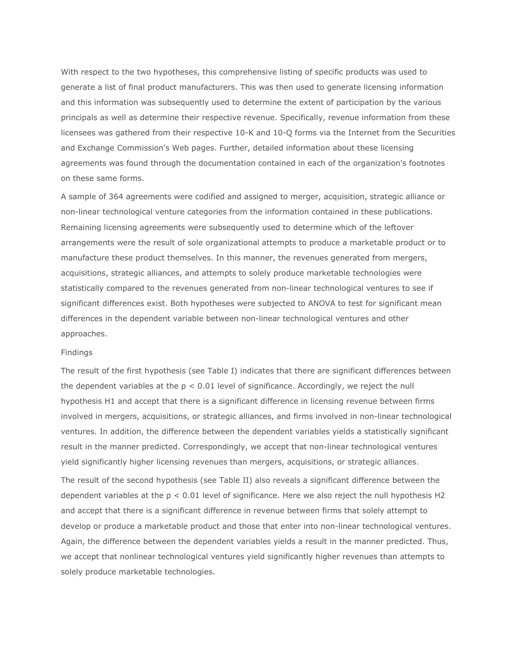With respect to the two hypotheses, this comprehensive listing of specific products was used to generate a list of final product manufacturers. This was then used to generate licensing information and this information was subsequently used to determine the extent of participation by the various principals as well as determine their respective revenue. Specifically, revenue information from these licensees was gathered from their respective 10-K and 10-Q forms via the Internet from the Securities and Exchange Commission's Web pages. Further, detailed information about these licensing agreements was found through the documentation contained in each of the organization's footnotes on these same forms.

A sample of 364 agreements were codified and assigned to merger, acquisition, strategic alliance or non-linear technological venture categories from the information contained in these publications. Remaining licensing agreements were subsequently used to determine which of the leftover arrangements were the result of sole organizational attempts to produce a marketable product or to manufacture these product themselves. In this manner, the revenues generated from mergers, acquisitions, strategic alliances, and attempts to solely produce marketable technologies were statistically compared to the revenues generated from non-linear technological ventures to see if significant differences exist. Both hypotheses were subjected to ANOVA to test for significant mean differences in the dependent variable between non-linear technological ventures and other approaches.

#### Findings

The result of the first hypothesis (see Table I) indicates that there are significant differences between the dependent variables at the  $p < 0.01$  level of significance. Accordingly, we reject the null hypothesis H1 and accept that there is a significant difference in licensing revenue between firms involved in mergers, acquisitions, or strategic alliances, and firms involved in non-linear technological ventures. In addition, the difference between the dependent variables yields a statistically significant result in the manner predicted. Correspondingly, we accept that non-linear technological ventures yield significantly higher licensing revenues than mergers, acquisitions, or strategic alliances. The result of the second hypothesis (see Table II) also reveals a significant difference between the

dependent variables at the  $p < 0.01$  level of significance. Here we also reject the null hypothesis H2 and accept that there is a significant difference in revenue between firms that solely attempt to develop or produce a marketable product and those that enter into non-linear technological ventures. Again, the difference between the dependent variables yields a result in the manner predicted. Thus, we accept that nonlinear technological ventures yield significantly higher revenues than attempts to solely produce marketable technologies.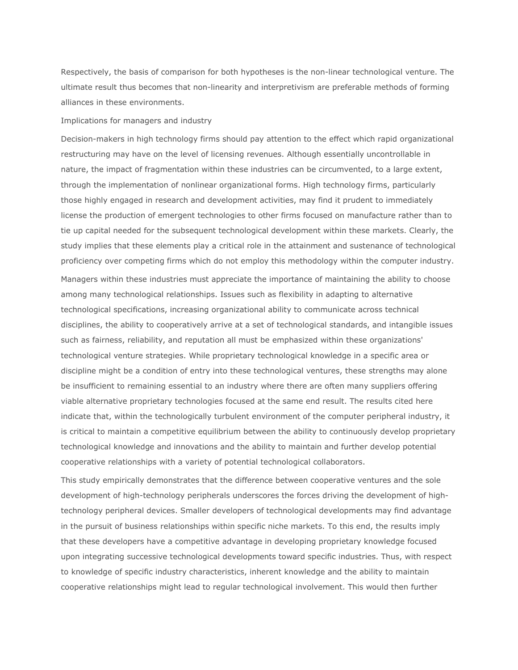Respectively, the basis of comparison for both hypotheses is the non-linear technological venture. The ultimate result thus becomes that non-linearity and interpretivism are preferable methods of forming alliances in these environments.

# Implications for managers and industry

Decision-makers in high technology firms should pay attention to the effect which rapid organizational restructuring may have on the level of licensing revenues. Although essentially uncontrollable in nature, the impact of fragmentation within these industries can be circumvented, to a large extent, through the implementation of nonlinear organizational forms. High technology firms, particularly those highly engaged in research and development activities, may find it prudent to immediately license the production of emergent technologies to other firms focused on manufacture rather than to tie up capital needed for the subsequent technological development within these markets. Clearly, the study implies that these elements play a critical role in the attainment and sustenance of technological proficiency over competing firms which do not employ this methodology within the computer industry. Managers within these industries must appreciate the importance of maintaining the ability to choose among many technological relationships. Issues such as flexibility in adapting to alternative technological specifications, increasing organizational ability to communicate across technical disciplines, the ability to cooperatively arrive at a set of technological standards, and intangible issues such as fairness, reliability, and reputation all must be emphasized within these organizations' technological venture strategies. While proprietary technological knowledge in a specific area or discipline might be a condition of entry into these technological ventures, these strengths may alone be insufficient to remaining essential to an industry where there are often many suppliers offering viable alternative proprietary technologies focused at the same end result. The results cited here indicate that, within the technologically turbulent environment of the computer peripheral industry, it is critical to maintain a competitive equilibrium between the ability to continuously develop proprietary technological knowledge and innovations and the ability to maintain and further develop potential cooperative relationships with a variety of potential technological collaborators.

This study empirically demonstrates that the difference between cooperative ventures and the sole development of high-technology peripherals underscores the forces driving the development of hightechnology peripheral devices. Smaller developers of technological developments may find advantage in the pursuit of business relationships within specific niche markets. To this end, the results imply that these developers have a competitive advantage in developing proprietary knowledge focused upon integrating successive technological developments toward specific industries. Thus, with respect to knowledge of specific industry characteristics, inherent knowledge and the ability to maintain cooperative relationships might lead to regular technological involvement. This would then further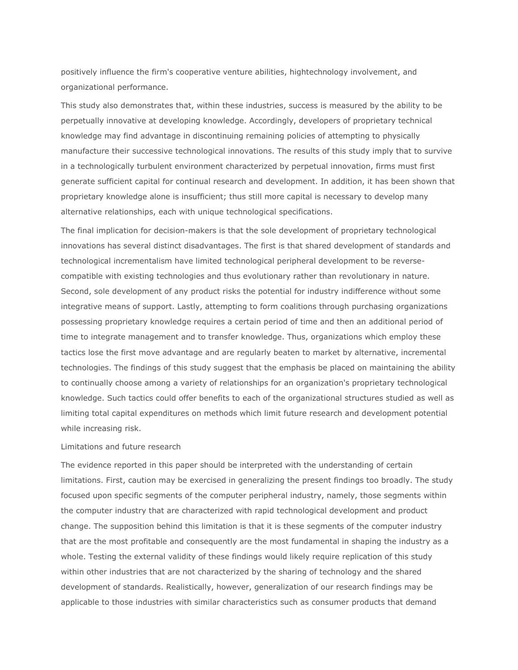positively influence the firm's cooperative venture abilities, hightechnology involvement, and organizational performance.

This study also demonstrates that, within these industries, success is measured by the ability to be perpetually innovative at developing knowledge. Accordingly, developers of proprietary technical knowledge may find advantage in discontinuing remaining policies of attempting to physically manufacture their successive technological innovations. The results of this study imply that to survive in a technologically turbulent environment characterized by perpetual innovation, firms must first generate sufficient capital for continual research and development. In addition, it has been shown that proprietary knowledge alone is insufficient; thus still more capital is necessary to develop many alternative relationships, each with unique technological specifications.

The final implication for decision-makers is that the sole development of proprietary technological innovations has several distinct disadvantages. The first is that shared development of standards and technological incrementalism have limited technological peripheral development to be reversecompatible with existing technologies and thus evolutionary rather than revolutionary in nature. Second, sole development of any product risks the potential for industry indifference without some integrative means of support. Lastly, attempting to form coalitions through purchasing organizations possessing proprietary knowledge requires a certain period of time and then an additional period of time to integrate management and to transfer knowledge. Thus, organizations which employ these tactics lose the first move advantage and are regularly beaten to market by alternative, incremental technologies. The findings of this study suggest that the emphasis be placed on maintaining the ability to continually choose among a variety of relationships for an organization's proprietary technological knowledge. Such tactics could offer benefits to each of the organizational structures studied as well as limiting total capital expenditures on methods which limit future research and development potential while increasing risk.

# Limitations and future research

The evidence reported in this paper should be interpreted with the understanding of certain limitations. First, caution may be exercised in generalizing the present findings too broadly. The study focused upon specific segments of the computer peripheral industry, namely, those segments within the computer industry that are characterized with rapid technological development and product change. The supposition behind this limitation is that it is these segments of the computer industry that are the most profitable and consequently are the most fundamental in shaping the industry as a whole. Testing the external validity of these findings would likely require replication of this study within other industries that are not characterized by the sharing of technology and the shared development of standards. Realistically, however, generalization of our research findings may be applicable to those industries with similar characteristics such as consumer products that demand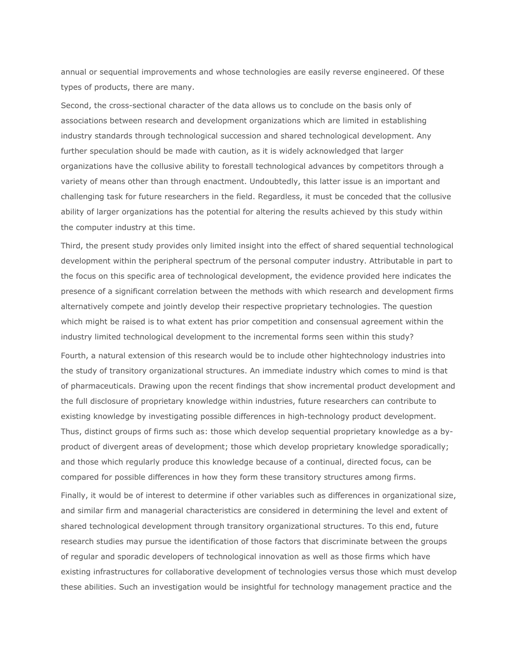annual or sequential improvements and whose technologies are easily reverse engineered. Of these types of products, there are many.

Second, the cross-sectional character of the data allows us to conclude on the basis only of associations between research and development organizations which are limited in establishing industry standards through technological succession and shared technological development. Any further speculation should be made with caution, as it is widely acknowledged that larger organizations have the collusive ability to forestall technological advances by competitors through a variety of means other than through enactment. Undoubtedly, this latter issue is an important and challenging task for future researchers in the field. Regardless, it must be conceded that the collusive ability of larger organizations has the potential for altering the results achieved by this study within the computer industry at this time.

Third, the present study provides only limited insight into the effect of shared sequential technological development within the peripheral spectrum of the personal computer industry. Attributable in part to the focus on this specific area of technological development, the evidence provided here indicates the presence of a significant correlation between the methods with which research and development firms alternatively compete and jointly develop their respective proprietary technologies. The question which might be raised is to what extent has prior competition and consensual agreement within the industry limited technological development to the incremental forms seen within this study?

Fourth, a natural extension of this research would be to include other hightechnology industries into the study of transitory organizational structures. An immediate industry which comes to mind is that of pharmaceuticals. Drawing upon the recent findings that show incremental product development and the full disclosure of proprietary knowledge within industries, future researchers can contribute to existing knowledge by investigating possible differences in high-technology product development. Thus, distinct groups of firms such as: those which develop sequential proprietary knowledge as a byproduct of divergent areas of development; those which develop proprietary knowledge sporadically; and those which regularly produce this knowledge because of a continual, directed focus, can be compared for possible differences in how they form these transitory structures among firms.

Finally, it would be of interest to determine if other variables such as differences in organizational size, and similar firm and managerial characteristics are considered in determining the level and extent of shared technological development through transitory organizational structures. To this end, future research studies may pursue the identification of those factors that discriminate between the groups of regular and sporadic developers of technological innovation as well as those firms which have existing infrastructures for collaborative development of technologies versus those which must develop these abilities. Such an investigation would be insightful for technology management practice and the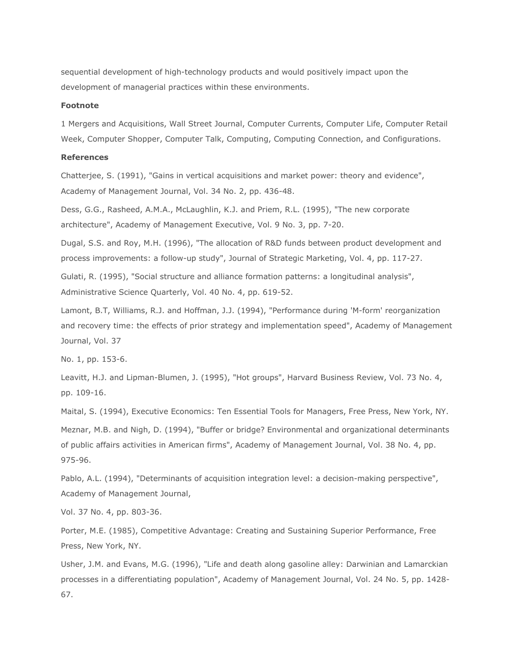sequential development of high-technology products and would positively impact upon the development of managerial practices within these environments.

# Footnote

1 Mergers and Acquisitions, Wall Street Journal, Computer Currents, Computer Life, Computer Retail Week, Computer Shopper, Computer Talk, Computing, Computing Connection, and Configurations.

# References

Chatterjee, S. (1991), "Gains in vertical acquisitions and market power: theory and evidence", Academy of Management Journal, Vol. 34 No. 2, pp. 436-48.

Dess, G.G., Rasheed, A.M.A., McLaughlin, K.J. and Priem, R.L. (1995), "The new corporate architecture", Academy of Management Executive, Vol. 9 No. 3, pp. 7-20.

Dugal, S.S. and Roy, M.H. (1996), "The allocation of R&D funds between product development and process improvements: a follow-up study", Journal of Strategic Marketing, Vol. 4, pp. 117-27.

Gulati, R. (1995), "Social structure and alliance formation patterns: a longitudinal analysis", Administrative Science Quarterly, Vol. 40 No. 4, pp. 619-52.

Lamont, B.T, Williams, R.J. and Hoffman, J.J. (1994), "Performance during 'M-form' reorganization and recovery time: the effects of prior strategy and implementation speed", Academy of Management Journal, Vol. 37

No. 1, pp. 153-6.

Leavitt, H.J. and Lipman-Blumen, J. (1995), "Hot groups", Harvard Business Review, Vol. 73 No. 4, pp. 109-16.

Maital, S. (1994), Executive Economics: Ten Essential Tools for Managers, Free Press, New York, NY. Meznar, M.B. and Nigh, D. (1994), "Buffer or bridge? Environmental and organizational determinants of public affairs activities in American firms", Academy of Management Journal, Vol. 38 No. 4, pp. 975-96.

Pablo, A.L. (1994), "Determinants of acquisition integration level: a decision-making perspective", Academy of Management Journal,

Vol. 37 No. 4, pp. 803-36.

Porter, M.E. (1985), Competitive Advantage: Creating and Sustaining Superior Performance, Free Press, New York, NY.

Usher, J.M. and Evans, M.G. (1996), "Life and death along gasoline alley: Darwinian and Lamarckian processes in a differentiating population", Academy of Management Journal, Vol. 24 No. 5, pp. 1428- 67.